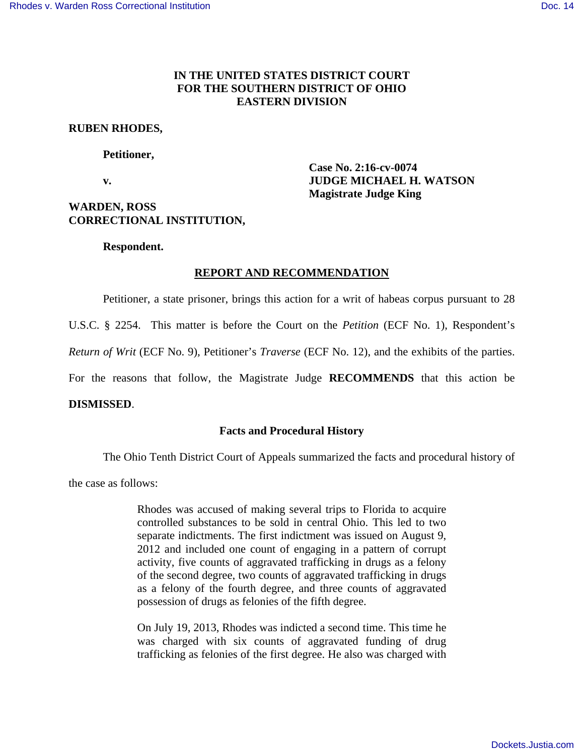# **IN THE UNITED STATES DISTRICT COURT FOR THE SOUTHERN DISTRICT OF OHIO EASTERN DIVISION**

### **RUBEN RHODES,**

### **Petitioner,**

 **Case No. 2:16-cv-0074 v.** *SUDGE MICHAEL H. WATSON* **Magistrate Judge King** 

# **WARDEN, ROSS CORRECTIONAL INSTITUTION,**

### **Respondent.**

## **REPORT AND RECOMMENDATION**

Petitioner, a state prisoner, brings this action for a writ of habeas corpus pursuant to 28

U.S.C. § 2254. This matter is before the Court on the *Petition* (ECF No. 1), Respondent's

*Return of Writ* (ECF No. 9)*,* Petitioner's *Traverse* (ECF No. 12), and the exhibits of the parties.

For the reasons that follow, the Magistrate Judge **RECOMMENDS** that this action be

#### **DISMISSED**.

## **Facts and Procedural History**

The Ohio Tenth District Court of Appeals summarized the facts and procedural history of

the case as follows:

Rhodes was accused of making several trips to Florida to acquire controlled substances to be sold in central Ohio. This led to two separate indictments. The first indictment was issued on August 9, 2012 and included one count of engaging in a pattern of corrupt activity, five counts of aggravated trafficking in drugs as a felony of the second degree, two counts of aggravated trafficking in drugs as a felony of the fourth degree, and three counts of aggravated possession of drugs as felonies of the fifth degree.

On July 19, 2013, Rhodes was indicted a second time. This time he was charged with six counts of aggravated funding of drug trafficking as felonies of the first degree. He also was charged with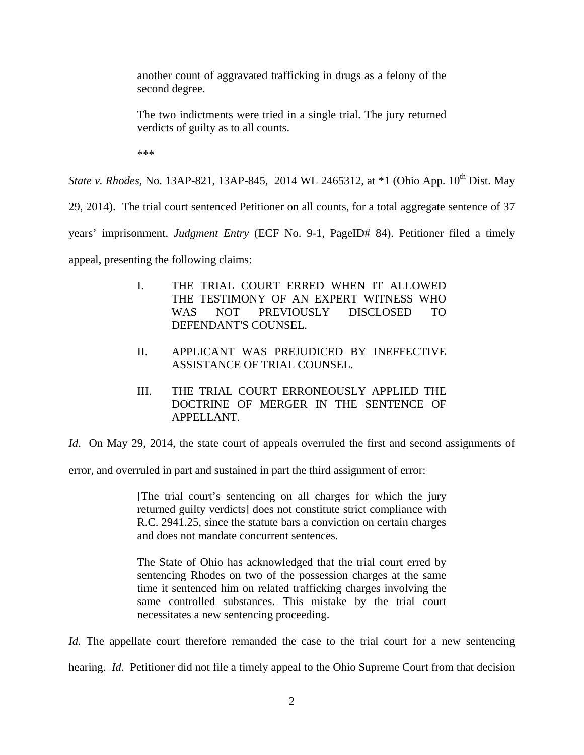another count of aggravated trafficking in drugs as a felony of the second degree.

The two indictments were tried in a single trial. The jury returned verdicts of guilty as to all counts.

\*\*\*

*State v. Rhodes, No.* 13AP-821, 13AP-845, 2014 WL 2465312, at \*1 (Ohio App. 10<sup>th</sup> Dist. May

29, 2014). The trial court sentenced Petitioner on all counts, for a total aggregate sentence of 37

years' imprisonment. *Judgment Entry* (ECF No. 9-1, PageID# 84). Petitioner filed a timely

appeal, presenting the following claims:

- I. THE TRIAL COURT ERRED WHEN IT ALLOWED THE TESTIMONY OF AN EXPERT WITNESS WHO WAS NOT PREVIOUSLY DISCLOSED TO DEFENDANT'S COUNSEL.
- II. APPLICANT WAS PREJUDICED BY INEFFECTIVE ASSISTANCE OF TRIAL COUNSEL.
- III. THE TRIAL COURT ERRONEOUSLY APPLIED THE DOCTRINE OF MERGER IN THE SENTENCE OF APPELLANT.

*Id*. On May 29, 2014, the state court of appeals overruled the first and second assignments of

error, and overruled in part and sustained in part the third assignment of error:

[The trial court's sentencing on all charges for which the jury returned guilty verdicts] does not constitute strict compliance with R.C. 2941.25, since the statute bars a conviction on certain charges and does not mandate concurrent sentences.

The State of Ohio has acknowledged that the trial court erred by sentencing Rhodes on two of the possession charges at the same time it sentenced him on related trafficking charges involving the same controlled substances. This mistake by the trial court necessitates a new sentencing proceeding.

*Id.* The appellate court therefore remanded the case to the trial court for a new sentencing

hearing. *Id*. Petitioner did not file a timely appeal to the Ohio Supreme Court from that decision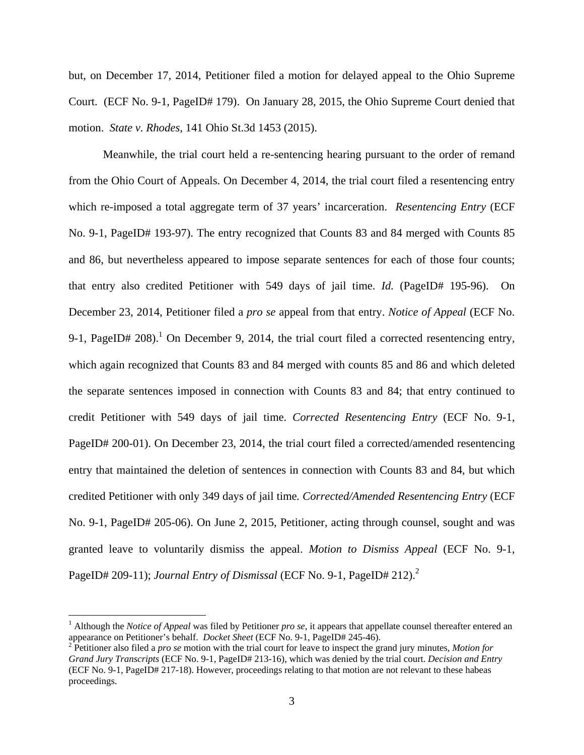but, on December 17, 2014, Petitioner filed a motion for delayed appeal to the Ohio Supreme Court. (ECF No. 9-1, PageID# 179). On January 28, 2015, the Ohio Supreme Court denied that motion. *State v. Rhodes*, 141 Ohio St.3d 1453 (2015).

 Meanwhile, the trial court held a re-sentencing hearing pursuant to the order of remand from the Ohio Court of Appeals. On December 4, 2014, the trial court filed a resentencing entry which re-imposed a total aggregate term of 37 years' incarceration. *Resentencing Entry* (ECF No. 9-1, PageID# 193-97). The entry recognized that Counts 83 and 84 merged with Counts 85 and 86, but nevertheless appeared to impose separate sentences for each of those four counts; that entry also credited Petitioner with 549 days of jail time. *Id.* (PageID# 195-96). On December 23, 2014, Petitioner filed a *pro se* appeal from that entry. *Notice of Appeal* (ECF No. 9-1, PageID# 208).<sup>1</sup> On December 9, 2014, the trial court filed a corrected resentencing entry, which again recognized that Counts 83 and 84 merged with counts 85 and 86 and which deleted the separate sentences imposed in connection with Counts 83 and 84; that entry continued to credit Petitioner with 549 days of jail time. *Corrected Resentencing Entry* (ECF No. 9-1, PageID# 200-01). On December 23, 2014, the trial court filed a corrected/amended resentencing entry that maintained the deletion of sentences in connection with Counts 83 and 84, but which credited Petitioner with only 349 days of jail time*. Corrected/Amended Resentencing Entry* (ECF No. 9-1, PageID# 205-06). On June 2, 2015, Petitioner, acting through counsel, sought and was granted leave to voluntarily dismiss the appeal. *Motion to Dismiss Appeal* (ECF No. 9-1, PageID# 209-11); *Journal Entry of Dismissal* (ECF No. 9-1, PageID# 212).<sup>2</sup>

 $\overline{a}$ 

<sup>&</sup>lt;sup>1</sup> Although the *Notice of Appeal* was filed by Petitioner *pro se*, it appears that appellate counsel thereafter entered an appearance on Petitioner's behalf. *Docket Sheet* (ECF No. 9-1, PageID# 245-46).

<sup>2</sup> Petitioner also filed a *pro se* motion with the trial court for leave to inspect the grand jury minutes, *Motion for Grand Jury Transcripts* (ECF No. 9-1, PageID# 213-16), which was denied by the trial court. *Decision and Entry* (ECF No. 9-1, PageID# 217-18). However, proceedings relating to that motion are not relevant to these habeas proceedings.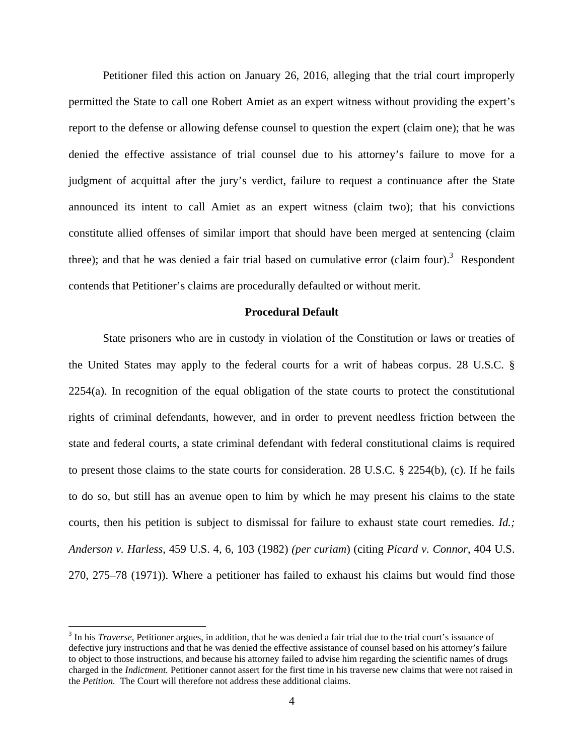Petitioner filed this action on January 26, 2016, alleging that the trial court improperly permitted the State to call one Robert Amiet as an expert witness without providing the expert's report to the defense or allowing defense counsel to question the expert (claim one); that he was denied the effective assistance of trial counsel due to his attorney's failure to move for a judgment of acquittal after the jury's verdict, failure to request a continuance after the State announced its intent to call Amiet as an expert witness (claim two); that his convictions constitute allied offenses of similar import that should have been merged at sentencing (claim three); and that he was denied a fair trial based on cumulative error (claim four).<sup>3</sup> Respondent contends that Petitioner's claims are procedurally defaulted or without merit.

#### **Procedural Default**

State prisoners who are in custody in violation of the Constitution or laws or treaties of the United States may apply to the federal courts for a writ of habeas corpus. 28 U.S.C. § 2254(a). In recognition of the equal obligation of the state courts to protect the constitutional rights of criminal defendants, however, and in order to prevent needless friction between the state and federal courts, a state criminal defendant with federal constitutional claims is required to present those claims to the state courts for consideration. 28 U.S.C. § 2254(b), (c). If he fails to do so, but still has an avenue open to him by which he may present his claims to the state courts, then his petition is subject to dismissal for failure to exhaust state court remedies. *Id.; Anderson v. Harless*, 459 U.S. 4, 6, 103 (1982) *(per curiam*) (citing *Picard v. Connor*, 404 U.S. 270, 275–78 (1971)). Where a petitioner has failed to exhaust his claims but would find those

 $\overline{a}$ 

<sup>&</sup>lt;sup>3</sup> In his *Traverse*, Petitioner argues, in addition, that he was denied a fair trial due to the trial court's issuance of defective jury instructions and that he was denied the effective assistance of counsel based on his attorney's failure to object to those instructions, and because his attorney failed to advise him regarding the scientific names of drugs charged in the *Indictment.* Petitioner cannot assert for the first time in his traverse new claims that were not raised in the *Petition.* The Court will therefore not address these additional claims.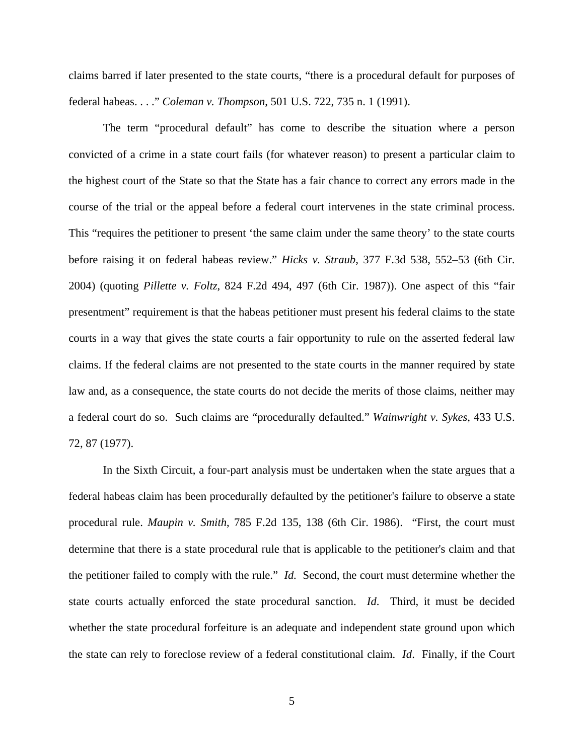claims barred if later presented to the state courts, "there is a procedural default for purposes of federal habeas. . . ." *Coleman v. Thompson*, 501 U.S. 722, 735 n. 1 (1991).

The term "procedural default" has come to describe the situation where a person convicted of a crime in a state court fails (for whatever reason) to present a particular claim to the highest court of the State so that the State has a fair chance to correct any errors made in the course of the trial or the appeal before a federal court intervenes in the state criminal process. This "requires the petitioner to present 'the same claim under the same theory' to the state courts before raising it on federal habeas review." *Hicks v. Straub*, 377 F.3d 538, 552–53 (6th Cir. 2004) (quoting *Pillette v. Foltz*, 824 F.2d 494, 497 (6th Cir. 1987)). One aspect of this "fair presentment" requirement is that the habeas petitioner must present his federal claims to the state courts in a way that gives the state courts a fair opportunity to rule on the asserted federal law claims. If the federal claims are not presented to the state courts in the manner required by state law and, as a consequence, the state courts do not decide the merits of those claims, neither may a federal court do so. Such claims are "procedurally defaulted." *Wainwright v. Sykes*, 433 U.S. 72, 87 (1977).

In the Sixth Circuit, a four-part analysis must be undertaken when the state argues that a federal habeas claim has been procedurally defaulted by the petitioner's failure to observe a state procedural rule. *Maupin v. Smith*, 785 F.2d 135, 138 (6th Cir. 1986). "First, the court must determine that there is a state procedural rule that is applicable to the petitioner's claim and that the petitioner failed to comply with the rule." *Id.* Second, the court must determine whether the state courts actually enforced the state procedural sanction. *Id*. Third, it must be decided whether the state procedural forfeiture is an adequate and independent state ground upon which the state can rely to foreclose review of a federal constitutional claim. *Id*. Finally, if the Court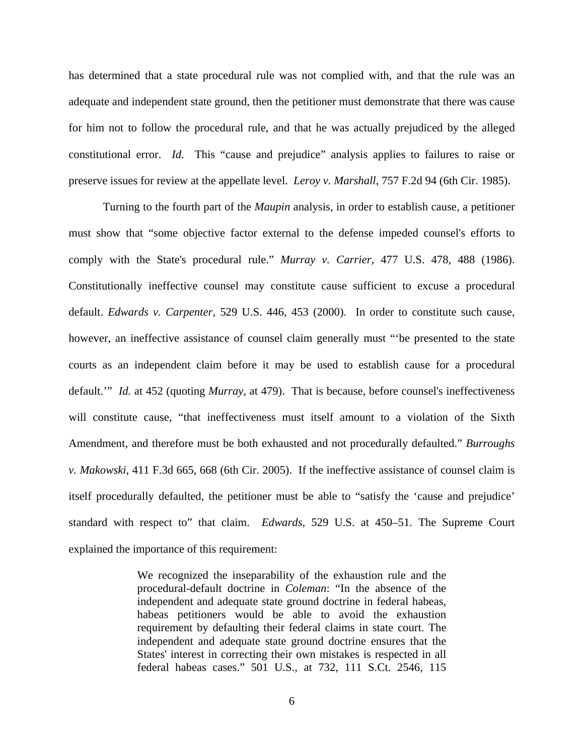has determined that a state procedural rule was not complied with, and that the rule was an adequate and independent state ground, then the petitioner must demonstrate that there was cause for him not to follow the procedural rule, and that he was actually prejudiced by the alleged constitutional error. *Id*. This "cause and prejudice" analysis applies to failures to raise or preserve issues for review at the appellate level. *Leroy v. Marshall*, 757 F.2d 94 (6th Cir. 1985).

Turning to the fourth part of the *Maupin* analysis, in order to establish cause, a petitioner must show that "some objective factor external to the defense impeded counsel's efforts to comply with the State's procedural rule." *Murray v. Carrier*, 477 U.S. 478, 488 (1986). Constitutionally ineffective counsel may constitute cause sufficient to excuse a procedural default. *Edwards v. Carpenter*, 529 U.S. 446, 453 (2000). In order to constitute such cause, however, an ineffective assistance of counsel claim generally must "'be presented to the state courts as an independent claim before it may be used to establish cause for a procedural default.'" *Id.* at 452 (quoting *Murray,* at 479). That is because, before counsel's ineffectiveness will constitute cause, "that ineffectiveness must itself amount to a violation of the Sixth Amendment, and therefore must be both exhausted and not procedurally defaulted." *Burroughs v. Makowski*, 411 F.3d 665, 668 (6th Cir. 2005). If the ineffective assistance of counsel claim is itself procedurally defaulted, the petitioner must be able to "satisfy the 'cause and prejudice' standard with respect to" that claim. *Edwards,* 529 U.S. at 450–51. The Supreme Court explained the importance of this requirement:

> We recognized the inseparability of the exhaustion rule and the procedural-default doctrine in *Coleman*: "In the absence of the independent and adequate state ground doctrine in federal habeas, habeas petitioners would be able to avoid the exhaustion requirement by defaulting their federal claims in state court. The independent and adequate state ground doctrine ensures that the States' interest in correcting their own mistakes is respected in all federal habeas cases." 501 U.S., at 732, 111 S.Ct. 2546, 115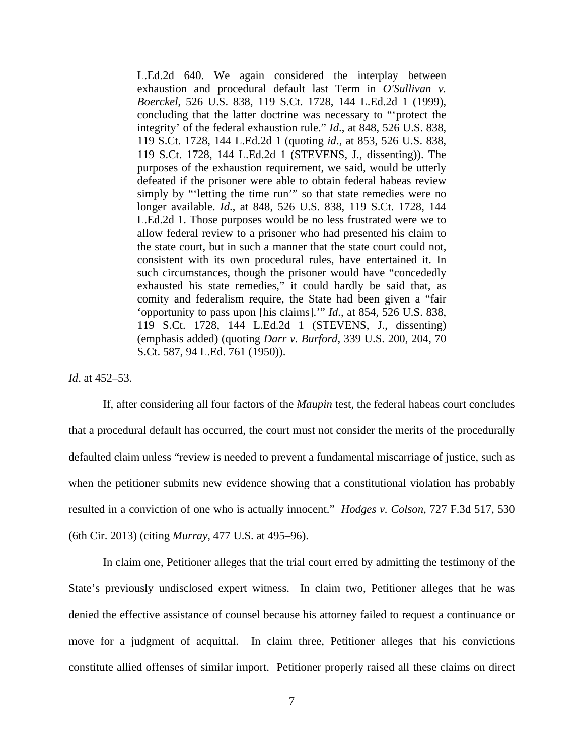L.Ed.2d 640. We again considered the interplay between exhaustion and procedural default last Term in *O'Sullivan v. Boerckel*, 526 U.S. 838, 119 S.Ct. 1728, 144 L.Ed.2d 1 (1999), concluding that the latter doctrine was necessary to "'protect the integrity' of the federal exhaustion rule." *Id*., at 848, 526 U.S. 838, 119 S.Ct. 1728, 144 L.Ed.2d 1 (quoting *id*., at 853, 526 U.S. 838, 119 S.Ct. 1728, 144 L.Ed.2d 1 (STEVENS, J., dissenting)). The purposes of the exhaustion requirement, we said, would be utterly defeated if the prisoner were able to obtain federal habeas review simply by "'letting the time run'" so that state remedies were no longer available. *Id*., at 848, 526 U.S. 838, 119 S.Ct. 1728, 144 L.Ed.2d 1. Those purposes would be no less frustrated were we to allow federal review to a prisoner who had presented his claim to the state court, but in such a manner that the state court could not, consistent with its own procedural rules, have entertained it. In such circumstances, though the prisoner would have "concededly exhausted his state remedies," it could hardly be said that, as comity and federalism require, the State had been given a "fair 'opportunity to pass upon [his claims].'" *Id*., at 854, 526 U.S. 838, 119 S.Ct. 1728, 144 L.Ed.2d 1 (STEVENS, J., dissenting) (emphasis added) (quoting *Darr v. Burford*, 339 U.S. 200, 204, 70 S.Ct. 587, 94 L.Ed. 761 (1950)).

### *Id*. at 452–53.

If, after considering all four factors of the *Maupin* test, the federal habeas court concludes that a procedural default has occurred, the court must not consider the merits of the procedurally defaulted claim unless "review is needed to prevent a fundamental miscarriage of justice, such as when the petitioner submits new evidence showing that a constitutional violation has probably resulted in a conviction of one who is actually innocent." *Hodges v. Colson*, 727 F.3d 517, 530 (6th Cir. 2013) (citing *Murray,* 477 U.S. at 495–96).

In claim one, Petitioner alleges that the trial court erred by admitting the testimony of the State's previously undisclosed expert witness. In claim two, Petitioner alleges that he was denied the effective assistance of counsel because his attorney failed to request a continuance or move for a judgment of acquittal. In claim three, Petitioner alleges that his convictions constitute allied offenses of similar import. Petitioner properly raised all these claims on direct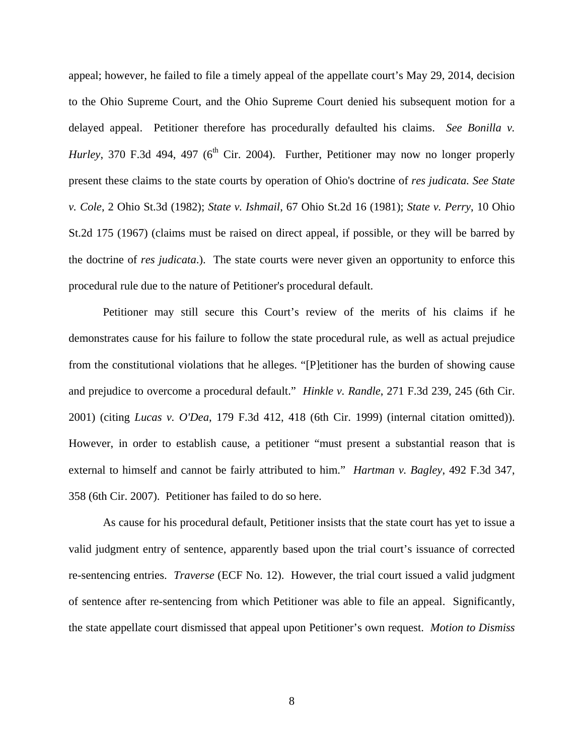appeal; however, he failed to file a timely appeal of the appellate court's May 29, 2014, decision to the Ohio Supreme Court, and the Ohio Supreme Court denied his subsequent motion for a delayed appeal. Petitioner therefore has procedurally defaulted his claims. *See Bonilla v. Hurley*, 370 F.3d 494, 497 ( $6<sup>th</sup>$  Cir. 2004). Further, Petitioner may now no longer properly present these claims to the state courts by operation of Ohio's doctrine of *res judicata. See State v. Cole*, 2 Ohio St.3d (1982); *State v. Ishmail*, 67 Ohio St.2d 16 (1981); *State v. Perry*, 10 Ohio St.2d 175 (1967) (claims must be raised on direct appeal, if possible, or they will be barred by the doctrine of *res judicata*.). The state courts were never given an opportunity to enforce this procedural rule due to the nature of Petitioner's procedural default.

Petitioner may still secure this Court's review of the merits of his claims if he demonstrates cause for his failure to follow the state procedural rule, as well as actual prejudice from the constitutional violations that he alleges. "[P]etitioner has the burden of showing cause and prejudice to overcome a procedural default." *Hinkle v. Randle*, 271 F.3d 239, 245 (6th Cir. 2001) (citing *Lucas v. O'Dea*, 179 F.3d 412, 418 (6th Cir. 1999) (internal citation omitted)). However, in order to establish cause, a petitioner "must present a substantial reason that is external to himself and cannot be fairly attributed to him." *Hartman v. Bagley*, 492 F.3d 347, 358 (6th Cir. 2007). Petitioner has failed to do so here.

As cause for his procedural default, Petitioner insists that the state court has yet to issue a valid judgment entry of sentence, apparently based upon the trial court's issuance of corrected re-sentencing entries. *Traverse* (ECF No. 12). However, the trial court issued a valid judgment of sentence after re-sentencing from which Petitioner was able to file an appeal. Significantly, the state appellate court dismissed that appeal upon Petitioner's own request. *Motion to Dismiss*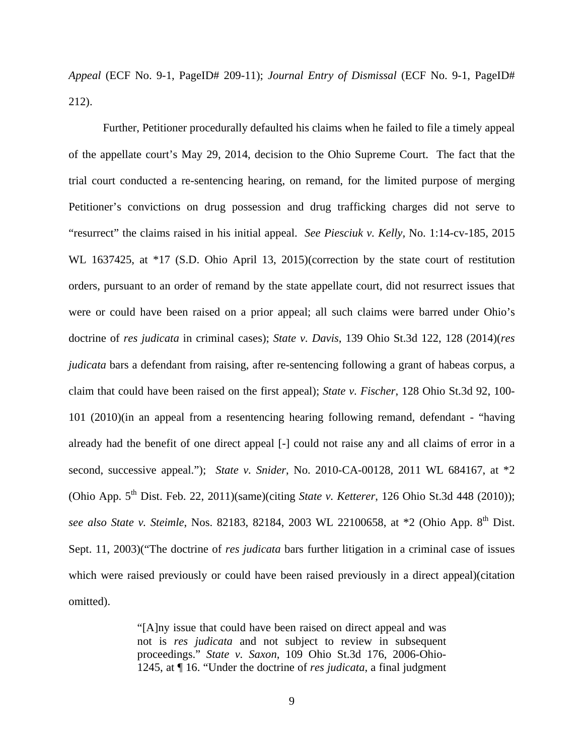*Appeal* (ECF No. 9-1, PageID# 209-11); *Journal Entry of Dismissal* (ECF No. 9-1, PageID# 212).

Further, Petitioner procedurally defaulted his claims when he failed to file a timely appeal of the appellate court's May 29, 2014, decision to the Ohio Supreme Court. The fact that the trial court conducted a re-sentencing hearing, on remand, for the limited purpose of merging Petitioner's convictions on drug possession and drug trafficking charges did not serve to "resurrect" the claims raised in his initial appeal. *See Piesciuk v. Kelly,* No. 1:14-cv-185, 2015 WL 1637425, at \*17 (S.D. Ohio April 13, 2015)(correction by the state court of restitution orders, pursuant to an order of remand by the state appellate court, did not resurrect issues that were or could have been raised on a prior appeal; all such claims were barred under Ohio's doctrine of *res judicata* in criminal cases); *State v. Davis*, 139 Ohio St.3d 122, 128 (2014)(*res judicata* bars a defendant from raising, after re-sentencing following a grant of habeas corpus, a claim that could have been raised on the first appeal); *State v. Fischer*, 128 Ohio St.3d 92, 100- 101 (2010)(in an appeal from a resentencing hearing following remand, defendant - "having already had the benefit of one direct appeal [-] could not raise any and all claims of error in a second, successive appeal."); *State v. Snider*, No. 2010-CA-00128, 2011 WL 684167, at \*2 (Ohio App. 5<sup>th</sup> Dist. Feb. 22, 2011)(same)(citing *State v. Ketterer*, 126 Ohio St.3d 448 (2010)); *see also State v. Steimle*, Nos. 82183, 82184, 2003 WL 22100658, at \*2 (Ohio App. 8th Dist. Sept. 11, 2003)("The doctrine of *res judicata* bars further litigation in a criminal case of issues which were raised previously or could have been raised previously in a direct appeal)(citation omitted).

> "[A]ny issue that could have been raised on direct appeal and was not is *res judicata* and not subject to review in subsequent proceedings." *State v. Saxon*, 109 Ohio St.3d 176, 2006-Ohio-1245, at ¶ 16. "Under the doctrine of *res judicata*, a final judgment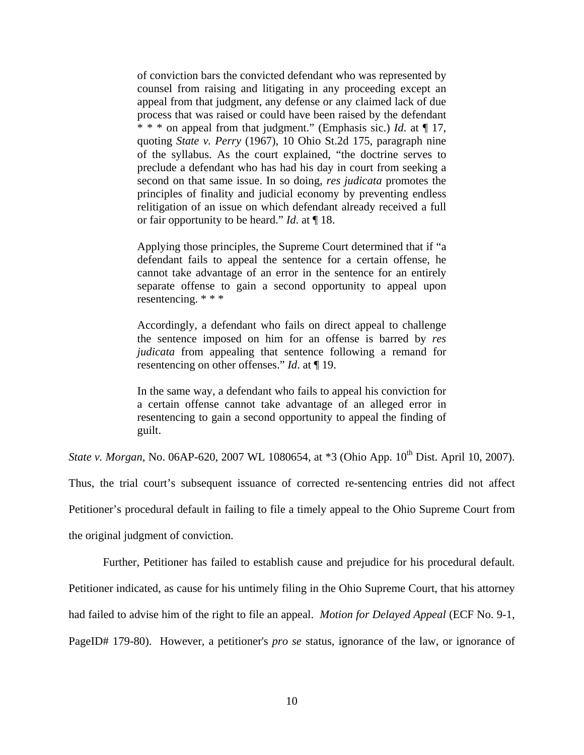of conviction bars the convicted defendant who was represented by counsel from raising and litigating in any proceeding except an appeal from that judgment, any defense or any claimed lack of due process that was raised or could have been raised by the defendant \* \* \* on appeal from that judgment." (Emphasis sic.) *Id*. at ¶ 17, quoting *State v. Perry* (1967), 10 Ohio St.2d 175, paragraph nine of the syllabus. As the court explained, "the doctrine serves to preclude a defendant who has had his day in court from seeking a second on that same issue. In so doing, *res judicata* promotes the principles of finality and judicial economy by preventing endless relitigation of an issue on which defendant already received a full or fair opportunity to be heard." *Id*. at ¶ 18.

Applying those principles, the Supreme Court determined that if "a defendant fails to appeal the sentence for a certain offense, he cannot take advantage of an error in the sentence for an entirely separate offense to gain a second opportunity to appeal upon resentencing. \* \* \*

Accordingly, a defendant who fails on direct appeal to challenge the sentence imposed on him for an offense is barred by *res judicata* from appealing that sentence following a remand for resentencing on other offenses." *Id*. at ¶ 19.

In the same way, a defendant who fails to appeal his conviction for a certain offense cannot take advantage of an alleged error in resentencing to gain a second opportunity to appeal the finding of guilt.

*State v. Morgan, No.* 06AP-620, 2007 WL 1080654, at \*3 (Ohio App. 10<sup>th</sup> Dist. April 10, 2007).

Thus, the trial court's subsequent issuance of corrected re-sentencing entries did not affect

Petitioner's procedural default in failing to file a timely appeal to the Ohio Supreme Court from

the original judgment of conviction.

Further, Petitioner has failed to establish cause and prejudice for his procedural default.

Petitioner indicated, as cause for his untimely filing in the Ohio Supreme Court, that his attorney

had failed to advise him of the right to file an appeal. *Motion for Delayed Appeal* (ECF No. 9-1,

PageID# 179-80). However, a petitioner's *pro se* status, ignorance of the law, or ignorance of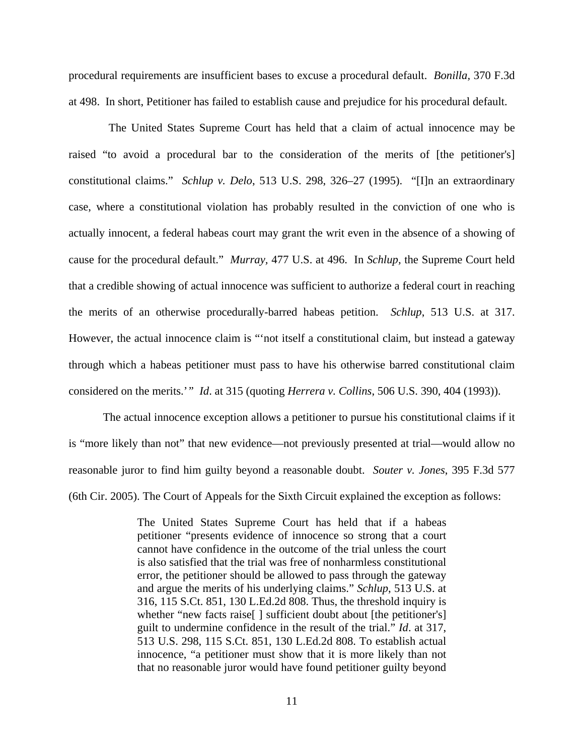procedural requirements are insufficient bases to excuse a procedural default. *Bonilla,* 370 F.3d at 498. In short, Petitioner has failed to establish cause and prejudice for his procedural default.

 The United States Supreme Court has held that a claim of actual innocence may be raised "to avoid a procedural bar to the consideration of the merits of [the petitioner's] constitutional claims." *Schlup v. Delo*, 513 U.S. 298, 326–27 (1995). "[I]n an extraordinary case, where a constitutional violation has probably resulted in the conviction of one who is actually innocent, a federal habeas court may grant the writ even in the absence of a showing of cause for the procedural default." *Murray,* 477 U.S. at 496. In *Schlup,* the Supreme Court held that a credible showing of actual innocence was sufficient to authorize a federal court in reaching the merits of an otherwise procedurally-barred habeas petition. *Schlup*, 513 U.S. at 317. However, the actual innocence claim is "'not itself a constitutional claim, but instead a gateway through which a habeas petitioner must pass to have his otherwise barred constitutional claim considered on the merits.'*" Id*. at 315 (quoting *Herrera v. Collins*, 506 U.S. 390, 404 (1993)).

The actual innocence exception allows a petitioner to pursue his constitutional claims if it is "more likely than not" that new evidence—not previously presented at trial—would allow no reasonable juror to find him guilty beyond a reasonable doubt. *Souter v. Jones*, 395 F.3d 577 (6th Cir. 2005). The Court of Appeals for the Sixth Circuit explained the exception as follows:

> The United States Supreme Court has held that if a habeas petitioner "presents evidence of innocence so strong that a court cannot have confidence in the outcome of the trial unless the court is also satisfied that the trial was free of nonharmless constitutional error, the petitioner should be allowed to pass through the gateway and argue the merits of his underlying claims." *Schlup*, 513 U.S. at 316, 115 S.Ct. 851, 130 L.Ed.2d 808. Thus, the threshold inquiry is whether "new facts raise[] sufficient doubt about [the petitioner's] guilt to undermine confidence in the result of the trial." *Id*. at 317, 513 U.S. 298, 115 S.Ct. 851, 130 L.Ed.2d 808. To establish actual innocence, "a petitioner must show that it is more likely than not that no reasonable juror would have found petitioner guilty beyond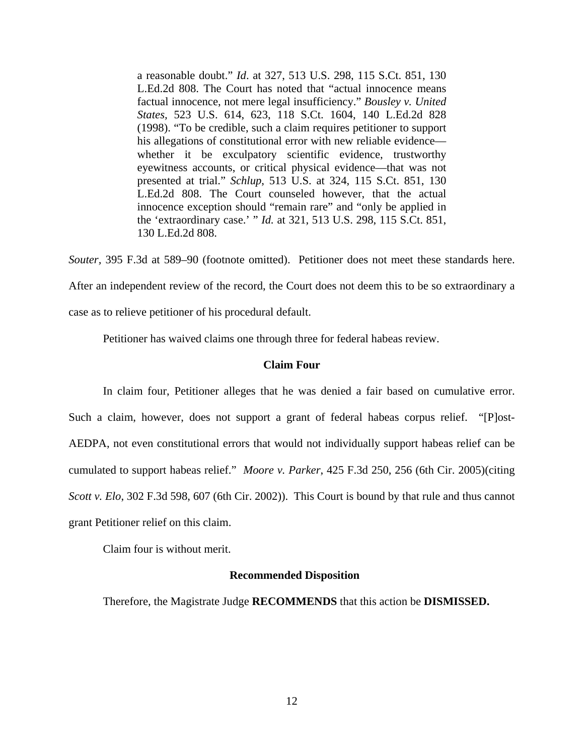a reasonable doubt." *Id*. at 327, 513 U.S. 298, 115 S.Ct. 851, 130 L.Ed.2d 808. The Court has noted that "actual innocence means factual innocence, not mere legal insufficiency." *Bousley v. United States,* 523 U.S. 614, 623, 118 S.Ct. 1604, 140 L.Ed.2d 828 (1998). "To be credible, such a claim requires petitioner to support his allegations of constitutional error with new reliable evidence whether it be exculpatory scientific evidence, trustworthy eyewitness accounts, or critical physical evidence—that was not presented at trial." *Schlup*, 513 U.S. at 324, 115 S.Ct. 851, 130 L.Ed.2d 808. The Court counseled however, that the actual innocence exception should "remain rare" and "only be applied in the 'extraordinary case.' " *Id.* at 321, 513 U.S. 298, 115 S.Ct. 851, 130 L.Ed.2d 808.

*Souter,* 395 F.3d at 589–90 (footnote omitted). Petitioner does not meet these standards here. After an independent review of the record, the Court does not deem this to be so extraordinary a

case as to relieve petitioner of his procedural default.

Petitioner has waived claims one through three for federal habeas review.

### **Claim Four**

 In claim four, Petitioner alleges that he was denied a fair based on cumulative error. Such a claim, however, does not support a grant of federal habeas corpus relief. "[P]ost-AEDPA, not even constitutional errors that would not individually support habeas relief can be cumulated to support habeas relief." *Moore v. Parker*, 425 F.3d 250, 256 (6th Cir. 2005)(citing *Scott v. Elo*, 302 F.3d 598, 607 (6th Cir. 2002)). This Court is bound by that rule and thus cannot grant Petitioner relief on this claim.

Claim four is without merit.

### **Recommended Disposition**

Therefore, the Magistrate Judge **RECOMMENDS** that this action be **DISMISSED.**